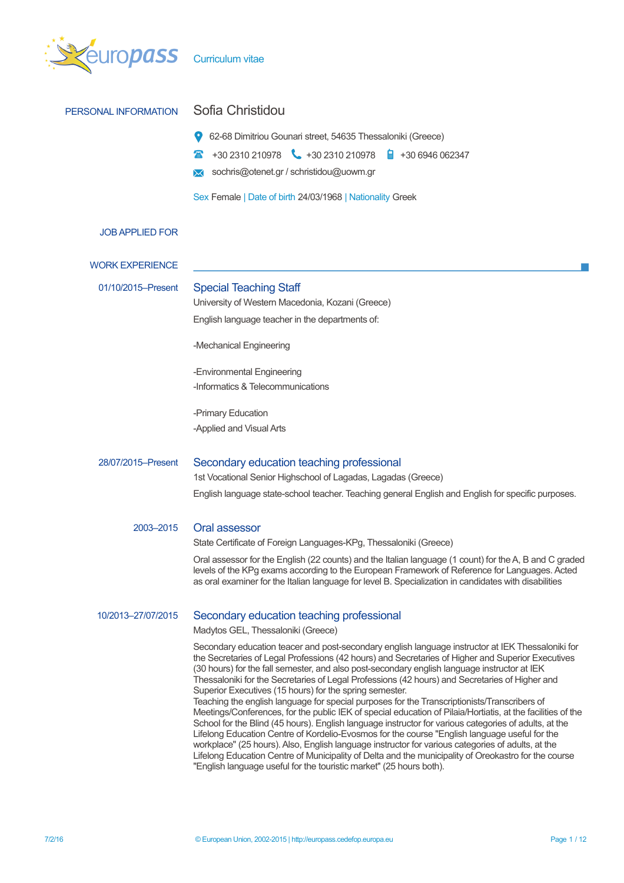

| PERSONAL INFORMATION   | Sofia Christidou                                                                                                                                                                                                                                                                                                                                                                                                                                                                                                                                                                                                                                                                                                                                                                                                                                                                                                                                                                                                                                                                                                                                                                 |  |  |  |
|------------------------|----------------------------------------------------------------------------------------------------------------------------------------------------------------------------------------------------------------------------------------------------------------------------------------------------------------------------------------------------------------------------------------------------------------------------------------------------------------------------------------------------------------------------------------------------------------------------------------------------------------------------------------------------------------------------------------------------------------------------------------------------------------------------------------------------------------------------------------------------------------------------------------------------------------------------------------------------------------------------------------------------------------------------------------------------------------------------------------------------------------------------------------------------------------------------------|--|--|--|
|                        | 62-68 Dimitriou Gounari street, 54635 Thessaloniki (Greece)                                                                                                                                                                                                                                                                                                                                                                                                                                                                                                                                                                                                                                                                                                                                                                                                                                                                                                                                                                                                                                                                                                                      |  |  |  |
|                        | +30 2310 210978 +30 2310 210978<br>$\frac{1}{2}$ +30 6946 062347                                                                                                                                                                                                                                                                                                                                                                                                                                                                                                                                                                                                                                                                                                                                                                                                                                                                                                                                                                                                                                                                                                                 |  |  |  |
|                        | sochris@otenet.gr / schristidou@uowm.gr                                                                                                                                                                                                                                                                                                                                                                                                                                                                                                                                                                                                                                                                                                                                                                                                                                                                                                                                                                                                                                                                                                                                          |  |  |  |
|                        | Sex Female   Date of birth 24/03/1968   Nationality Greek                                                                                                                                                                                                                                                                                                                                                                                                                                                                                                                                                                                                                                                                                                                                                                                                                                                                                                                                                                                                                                                                                                                        |  |  |  |
| <b>JOB APPLIED FOR</b> |                                                                                                                                                                                                                                                                                                                                                                                                                                                                                                                                                                                                                                                                                                                                                                                                                                                                                                                                                                                                                                                                                                                                                                                  |  |  |  |
| <b>WORK EXPERIENCE</b> |                                                                                                                                                                                                                                                                                                                                                                                                                                                                                                                                                                                                                                                                                                                                                                                                                                                                                                                                                                                                                                                                                                                                                                                  |  |  |  |
| 01/10/2015-Present     | <b>Special Teaching Staff</b>                                                                                                                                                                                                                                                                                                                                                                                                                                                                                                                                                                                                                                                                                                                                                                                                                                                                                                                                                                                                                                                                                                                                                    |  |  |  |
|                        | University of Western Macedonia, Kozani (Greece)                                                                                                                                                                                                                                                                                                                                                                                                                                                                                                                                                                                                                                                                                                                                                                                                                                                                                                                                                                                                                                                                                                                                 |  |  |  |
|                        | English language teacher in the departments of:                                                                                                                                                                                                                                                                                                                                                                                                                                                                                                                                                                                                                                                                                                                                                                                                                                                                                                                                                                                                                                                                                                                                  |  |  |  |
|                        | -Mechanical Engineering                                                                                                                                                                                                                                                                                                                                                                                                                                                                                                                                                                                                                                                                                                                                                                                                                                                                                                                                                                                                                                                                                                                                                          |  |  |  |
|                        | -Environmental Engineering                                                                                                                                                                                                                                                                                                                                                                                                                                                                                                                                                                                                                                                                                                                                                                                                                                                                                                                                                                                                                                                                                                                                                       |  |  |  |
|                        | -Informatics & Telecommunications                                                                                                                                                                                                                                                                                                                                                                                                                                                                                                                                                                                                                                                                                                                                                                                                                                                                                                                                                                                                                                                                                                                                                |  |  |  |
|                        | -Primary Education                                                                                                                                                                                                                                                                                                                                                                                                                                                                                                                                                                                                                                                                                                                                                                                                                                                                                                                                                                                                                                                                                                                                                               |  |  |  |
|                        | -Applied and Visual Arts                                                                                                                                                                                                                                                                                                                                                                                                                                                                                                                                                                                                                                                                                                                                                                                                                                                                                                                                                                                                                                                                                                                                                         |  |  |  |
| 28/07/2015-Present     | Secondary education teaching professional                                                                                                                                                                                                                                                                                                                                                                                                                                                                                                                                                                                                                                                                                                                                                                                                                                                                                                                                                                                                                                                                                                                                        |  |  |  |
|                        | 1st Vocational Senior Highschool of Lagadas, Lagadas (Greece)                                                                                                                                                                                                                                                                                                                                                                                                                                                                                                                                                                                                                                                                                                                                                                                                                                                                                                                                                                                                                                                                                                                    |  |  |  |
|                        | English language state-school teacher. Teaching general English and English for specific purposes.                                                                                                                                                                                                                                                                                                                                                                                                                                                                                                                                                                                                                                                                                                                                                                                                                                                                                                                                                                                                                                                                               |  |  |  |
| 2003-2015              | Oral assessor<br>State Certificate of Foreign Languages-KPg, Thessaloniki (Greece)                                                                                                                                                                                                                                                                                                                                                                                                                                                                                                                                                                                                                                                                                                                                                                                                                                                                                                                                                                                                                                                                                               |  |  |  |
|                        | Oral assessor for the English (22 counts) and the Italian language (1 count) for the A, B and C graded<br>levels of the KPg exams according to the European Framework of Reference for Languages. Acted<br>as oral examiner for the Italian language for level B. Specialization in candidates with disabilities                                                                                                                                                                                                                                                                                                                                                                                                                                                                                                                                                                                                                                                                                                                                                                                                                                                                 |  |  |  |
| 10/2013-27/07/2015     | Secondary education teaching professional<br>Madytos GEL, Thessaloniki (Greece)                                                                                                                                                                                                                                                                                                                                                                                                                                                                                                                                                                                                                                                                                                                                                                                                                                                                                                                                                                                                                                                                                                  |  |  |  |
|                        | Secondary education teacer and post-secondary english language instructor at IEK Thessaloniki for<br>the Secretaries of Legal Professions (42 hours) and Secretaries of Higher and Superior Executives<br>(30 hours) for the fall semester, and also post-secondary english language instructor at IEK<br>Thessaloniki for the Secretaries of Legal Professions (42 hours) and Secretaries of Higher and<br>Superior Executives (15 hours) for the spring semester.<br>Teaching the english language for special purposes for the Transcriptionists/Transcribers of<br>Meetings/Conferences, for the public IEK of special education of Pilaia/Hortiatis, at the facilities of the<br>School for the Blind (45 hours). English language instructor for various categories of adults, at the<br>Lifelong Education Centre of Kordelio-Evosmos for the course "English language useful for the<br>workplace" (25 hours). Also, English language instructor for various categories of adults, at the<br>Lifelong Education Centre of Municipality of Delta and the municipality of Oreokastro for the course<br>"English language useful for the touristic market" (25 hours both). |  |  |  |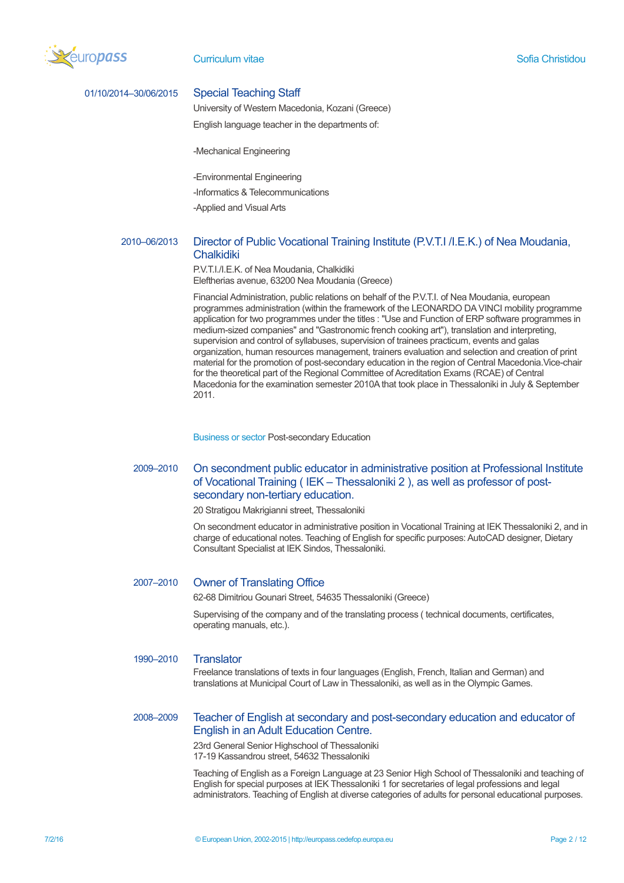

#### 01/10/2014–30/06/2015 Special Teaching Staff

University of Western Macedonia, Kozani (Greece)

English language teacher in the departments of:

-Mechanical Engineering

-Environmental Engineering

-Informatics & Telecommunications

-Applied and Visual Arts

# 2010–06/2013 Director of Public Vocational Training Institute (P.V.T.I /Ι.Ε.Κ.) of Nea Moudania, **Chalkidiki**

P.V.T.I./I.E.K. of Nea Moudania, Chalkidiki Eleftherias avenue, 63200 Nea Moudania (Greece)

Financial Administration, public relations on behalf of the P.V.T.I. of Nea Moudania, european programmes administration (within the framework of the LEONARDO DA VINCI mobility programme application for two programmes under the titles : "Use and Function of ERP software programmes in medium-sized companies" and "Gastronomic french cooking art"), translation and interpreting, supervision and control of syllabuses, supervision of trainees practicum, events and galas organization, human resources management, trainers evaluation and selection and creation of print material for the promotion of post-secondary education in the region of Central Macedonia.Vice-chair for the theoretical part of the Regional Committee of Acreditation Exams (RCAE) of Central Macedonia for the examination semester 2010A that took place in Thessaloniki in July & September 2011.

Business or sector Post-secondary Education

# 2009–2010 On secondment public educator in administrative position at Professional Institute of Vocational Training ( IEK – Thessaloniki 2 ), as well as professor of postsecondary non-tertiary education.

20 Stratigou Makrigianni street, Thessaloniki

On secondment educator in administrative position in Vocational Training at IEK Thessaloniki 2, and in charge of educational notes. Teaching of English for specific purposes: AutoCAD designer, Dietary Consultant Specialist at IEK Sindos, Thessaloniki.

## 2007–2010 Owner of Translating Office

62-68 Dimitriou Gounari Street, 54635 Thessaloniki (Greece)

Supervising of the company and of the translating process ( technical documents, certificates, operating manuals, etc.).

#### 1990–2010 Translator

Freelance translations of texts in four languages (English, French, Italian and German) and translations at Municipal Court of Law in Thessaloniki, as well as in the Olympic Games.

# 2008–2009 Teacher of English at secondary and post-secondary education and educator of English in an Adult Education Centre.

23rd General Senior Highschool of Thessaloniki 17-19 Kassandrou street, 54632 Thessaloniki

Teaching of English as a Foreign Language at 23 Senior High School of Thessaloniki and teaching of English for special purposes at IEK Thessaloniki 1 for secretaries of legal professions and legal administrators. Teaching of English at diverse categories of adults for personal educational purposes.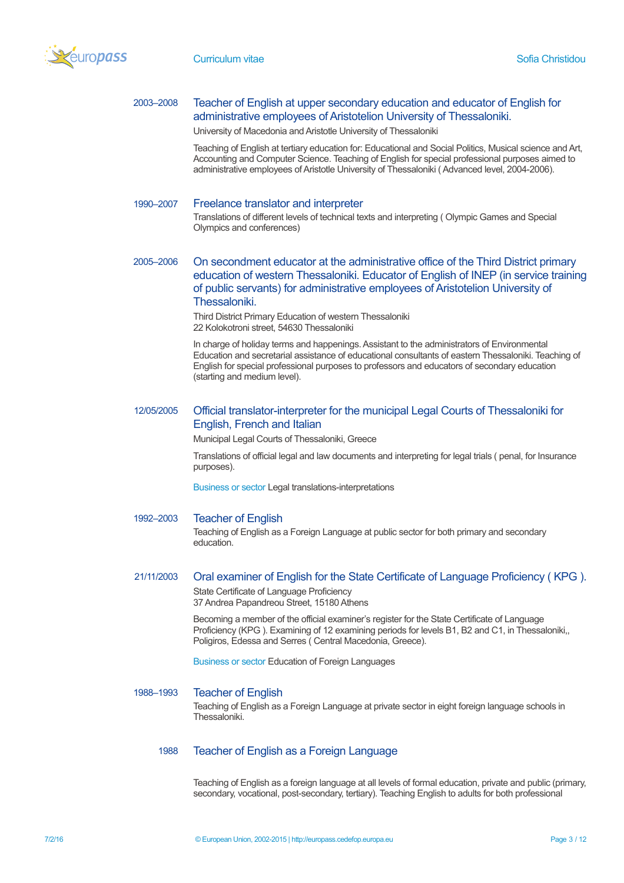

# 2003–2008 Teacher of English at upper secondary education and educator of English for administrative employees of Aristotelion University of Thessaloniki.

University of Macedonia and Aristotle University of Thessaloniki

Teaching of English at tertiary education for: Educational and Social Politics, Musical science and Art, Accounting and Computer Science. Teaching of English for special professional purposes aimed to administrative employees of Aristotle University of Thessaloniki ( Advanced level, 2004-2006).

#### 1990–2007 Freelance translator and interpreter

Translations of different levels of technical texts and interpreting ( Olympic Games and Special Olympics and conferences)

# 2005–2006 On secondment educator at the administrative office of the Third District primary education of western Thessaloniki. Educator of English of INEP (in service training of public servants) for administrative employees of Aristotelion University of Thessaloniki.

Third District Primary Education of western Thessaloniki 22 Kolokotroni street, 54630 Thessaloniki

In charge of holiday terms and happenings. Assistant to the administrators of Environmental Education and secretarial assistance of educational consultants of eastern Thessaloniki. Teaching of English for special professional purposes to professors and educators of secondary education (starting and medium level).

## 12/05/2005 Official translator-interpreter for the municipal Legal Courts of Thessaloniki for English, French and Italian

Municipal Legal Courts of Thessaloniki, Greece

Translations of official legal and law documents and interpreting for legal trials ( penal, for Insurance purposes).

Business or sector Legal translations-interpretations

#### 1992–2003 Teacher of English

Teaching of English as a Foreign Language at public sector for both primary and secondary education.

# 21/11/2003 Oral examiner of English for the State Certificate of Language Proficiency ( KPG ). State Certificate of Language Proficiency

37 Andrea Papandreou Street, 15180 Athens

Becoming a member of the official examiner's register for the State Certificate of Language Proficiency (KPG ). Examining of 12 examining periods for levels B1, B2 and C1, in Thessaloniki,, Poligiros, Edessa and Serres ( Central Macedonia, Greece).

Business or sector Education of Foreign Languages

# 1988–1993 Teacher of English

Teaching of English as a Foreign Language at private sector in eight foreign language schools in **Thessaloniki** 

# 1988 Teacher of English as a Foreign Language

Teaching of English as a foreign language at all levels of formal education, private and public (primary, secondary, vocational, post-secondary, tertiary). Teaching English to adults for both professional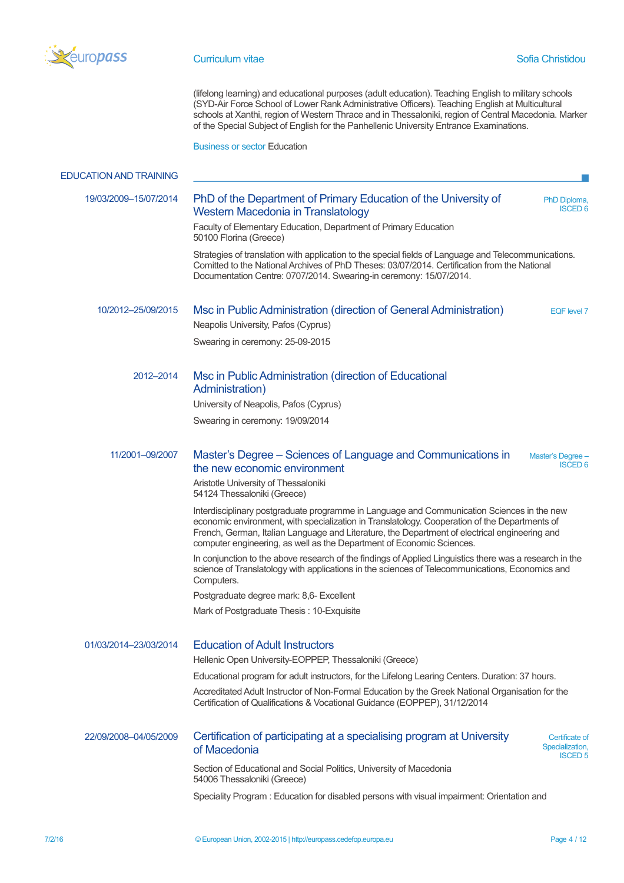

(lifelong learning) and educational purposes (adult education). Teaching English to military schools (SYD-Air Force School of Lower Rank Administrative Officers). Teaching English at Multicultural schools at Xanthi, region of Western Thrace and in Thessaloniki, region of Central Macedonia. Marker of the Special Subject of English for the Panhellenic University Entrance Examinations.

Business or sector Education

| <b>EDUCATION AND TRAINING</b> |                                                                                                                                                                                                                                                                                                                                                                       |
|-------------------------------|-----------------------------------------------------------------------------------------------------------------------------------------------------------------------------------------------------------------------------------------------------------------------------------------------------------------------------------------------------------------------|
| 19/03/2009-15/07/2014         | PhD of the Department of Primary Education of the University of<br>PhD Diploma,<br><b>ISCED 6</b><br>Western Macedonia in Translatology                                                                                                                                                                                                                               |
|                               | Faculty of Elementary Education, Department of Primary Education<br>50100 Florina (Greece)                                                                                                                                                                                                                                                                            |
|                               | Strategies of translation with application to the special fields of Language and Telecommunications.<br>Comitted to the National Archives of PhD Theses: 03/07/2014. Certification from the National<br>Documentation Centre: 0707/2014. Swearing-in ceremony: 15/07/2014.                                                                                            |
| 10/2012-25/09/2015            | Msc in Public Administration (direction of General Administration)<br><b>EQF</b> level 7<br>Neapolis University, Pafos (Cyprus)                                                                                                                                                                                                                                       |
|                               | Swearing in ceremony: 25-09-2015                                                                                                                                                                                                                                                                                                                                      |
| 2012-2014                     | Msc in Public Administration (direction of Educational<br>Administration)                                                                                                                                                                                                                                                                                             |
|                               | University of Neapolis, Pafos (Cyprus)                                                                                                                                                                                                                                                                                                                                |
|                               | Swearing in ceremony: 19/09/2014                                                                                                                                                                                                                                                                                                                                      |
| 11/2001-09/2007               | Master's Degree – Sciences of Language and Communications in<br>Master's Degree -<br><b>ISCED 6</b><br>the new economic environment                                                                                                                                                                                                                                   |
|                               | Aristotle University of Thessaloniki<br>54124 Thessaloniki (Greece)                                                                                                                                                                                                                                                                                                   |
|                               | Interdisciplinary postgraduate programme in Language and Communication Sciences in the new<br>economic environment, with specialization in Translatology. Cooperation of the Departments of<br>French, German, Italian Language and Literature, the Department of electrical engineering and<br>computer engineering, as well as the Department of Economic Sciences. |
|                               | In conjunction to the above research of the findings of Applied Linguistics there was a research in the<br>science of Translatology with applications in the sciences of Telecommunications, Economics and<br>Computers.                                                                                                                                              |
|                               | Postgraduate degree mark: 8,6- Excellent                                                                                                                                                                                                                                                                                                                              |
|                               | Mark of Postgraduate Thesis: 10-Exquisite                                                                                                                                                                                                                                                                                                                             |
| 01/03/2014-23/03/2014         | <b>Education of Adult Instructors</b>                                                                                                                                                                                                                                                                                                                                 |
|                               | Hellenic Open University-EOPPEP, Thessaloniki (Greece)                                                                                                                                                                                                                                                                                                                |
|                               | Educational program for adult instructors, for the Lifelong Learing Centers. Duration: 37 hours.                                                                                                                                                                                                                                                                      |
|                               | Accreditated Adult Instructor of Non-Formal Education by the Greek National Organisation for the<br>Certification of Qualifications & Vocational Guidance (EOPPEP), 31/12/2014                                                                                                                                                                                        |
| 22/09/2008-04/05/2009         | Certification of participating at a specialising program at University<br>Certificate of<br>Specialization,<br>of Macedonia<br><b>ISCED 5</b>                                                                                                                                                                                                                         |
|                               | Section of Educational and Social Politics, University of Macedonia<br>54006 Thessaloniki (Greece)                                                                                                                                                                                                                                                                    |
|                               | Speciality Program: Education for disabled persons with visual impairment: Orientation and                                                                                                                                                                                                                                                                            |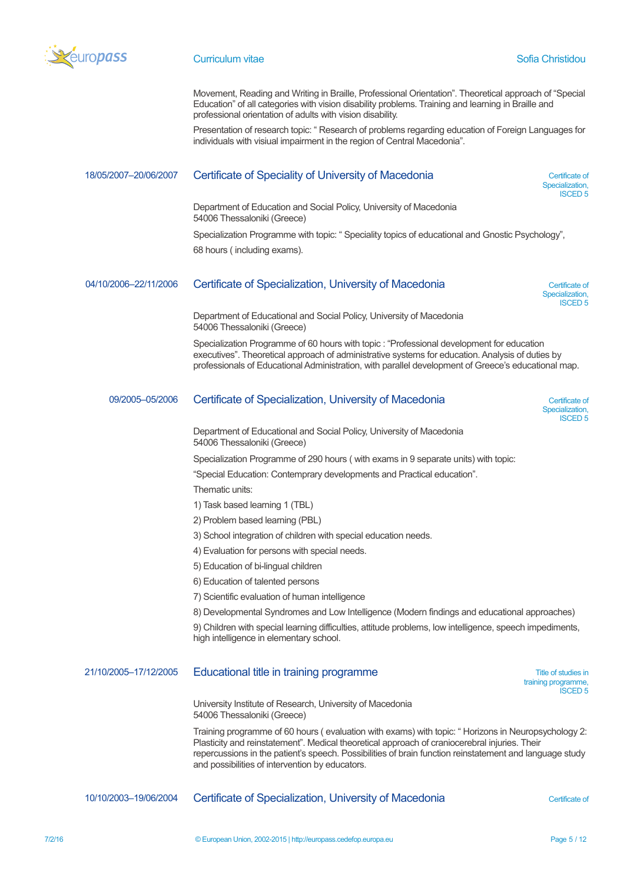

Movement, Reading and Writing in Braille, Professional Orientation". Theoretical approach of "Special Education" of all categories with vision disability problems. Training and learning in Braille and professional orientation of adults with vision disability.

Presentation of research topic: " Research of problems regarding education of Foreign Languages for individuals with visiual impairment in the region of Central Macedonia".

# 18/05/2007–20/06/2007 Certificate of Speciality of University of Macedonia Certificate of

Department of Education and Social Policy, University of Macedonia 54006 Thessaloniki (Greece)

Specialization Programme with topic: " Speciality topics of educational and Gnostic Psychology", 68 hours ( including exams).

### 04/10/2006–22/11/2006 Certificate of Specialization, University of Macedonia Certificate of

Specialization, ISCED 5

Specialization, ISCED 5

Specialization, ISCED 5

Department of Educational and Social Policy, University of Macedonia 54006 Thessaloniki (Greece)

Specialization Programme of 60 hours with topic : "Professional development for education executives". Theoretical approach of administrative systems for education. Analysis of duties by professionals of Educational Administration, with parallel development of Greece's educational map.

### 09/2005–05/2006 Certificate of Specialization, University of Macedonia Certificate of

Department of Educational and Social Policy, University of Macedonia 54006 Thessaloniki (Greece)

Specialization Programme of 290 hours ( with exams in 9 separate units) with topic:

"Special Education: Contemprary developments and Practical education".

Thematic units:

- 1) Task based learning 1 (TBL)
- 2) Problem based learning (PBL)

3) School integration of children with special education needs.

- 4) Evaluation for persons with special needs.
- 5) Education of bi-lingual children
- 6) Education of talented persons

7) Scientific evaluation of human intelligence

8) Developmental Syndromes and Low Intelligence (Modern findings and educational approaches)

9) Children with special learning difficulties, attitude problems, low intelligence, speech impediments, high intelligence in elementary school.

| 21/10/2005-17/12/2005 | Educational title in training programme | Title of studies in |
|-----------------------|-----------------------------------------|---------------------|
|                       |                                         | training programme, |
|                       |                                         | <b>ISCED 5</b>      |

University Institute of Research, University of Macedonia 54006 Thessaloniki (Greece)

Training programme of 60 hours ( evaluation with exams) with topic: " Horizons in Neuropsychology 2: Plasticity and reinstatement". Medical theoretical approach of craniocerebral injuries. Their repercussions in the patient's speech. Possibilities of brain function reinstatement and language study and possibilities of intervention by educators.

10/10/2003–19/06/2004 Certificate of Specialization, University of Macedonia Certificate of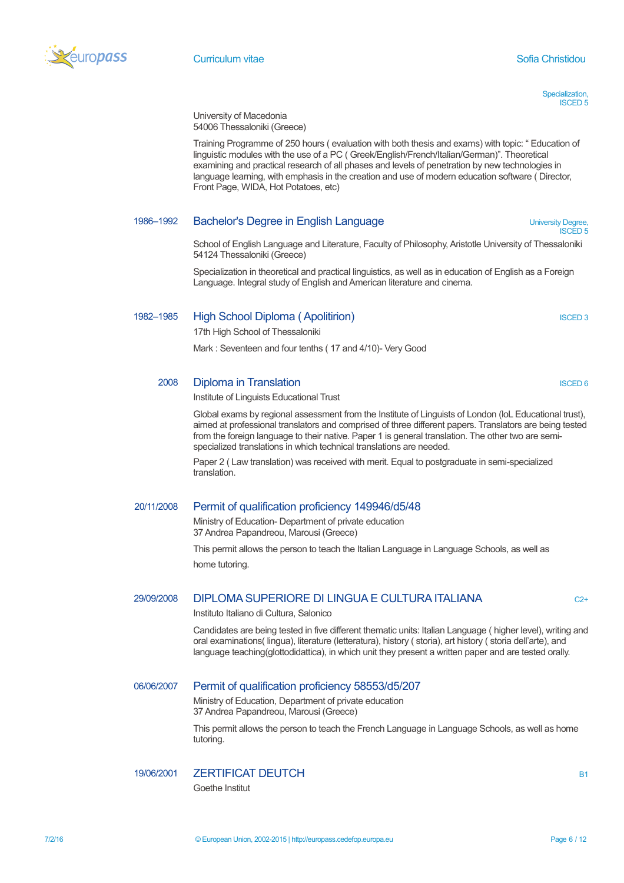

Specialization, ISCED 5

University of Macedonia 54006 Thessaloniki (Greece)

Training Programme of 250 hours ( evaluation with both thesis and exams) with topic: " Education of linguistic modules with the use of a PC ( Greek/English/French/Italian/German)". Theoretical examining and practical research of all phases and levels of penetration by new technologies in language learning, with emphasis in the creation and use of modern education software ( Director, Front Page, WIDA, Hot Potatoes, etc)

## 1986–1992 Bachelor's Degree in English Language University Degree,

ISCED 5

School of English Language and Literature, Faculty of Philosophy, Aristotle University of Thessaloniki 54124 Thessaloniki (Greece)

Specialization in theoretical and practical linguistics, as well as in education of English as a Foreign Language. Integral study of English and American literature and cinema.

# 1982–1985 High School Diploma (Apolitirion) **ISCED 3** ISCED 3

17th High School of Thessaloniki

Mark : Seventeen and four tenths ( 17 and 4/10)- Very Good

## 2008 Diploma in Translation **Internation International Contract Contract Contract Contract Contract Contract Contract Contract Contract Contract Contract Contract Contract Contract Contract Contract Contract Contract Contr**

Institute of Linguists Educational Trust

Global exams by regional assessment from the Institute of Linguists of London (loL Educational trust), aimed at professional translators and comprised of three different papers. Translators are being tested from the foreign language to their native. Paper 1 is general translation. The other two are semispecialized translations in which technical translations are needed.

Paper 2 ( Law translation) was received with merit. Equal to postgraduate in semi-specialized translation.

## 20/11/2008 Permit of qualification proficiency 149946/d5/48

Ministry of Education- Department of private education 37 Andrea Papandreou, Marousi (Greece)

This permit allows the person to teach the Italian Language in Language Schools, as well as home tutoring.

# $29/09/2008$  DIPLOMA SUPERIORE DI LINGUA E CULTURA ITALIANA C2+

Instituto Italiano di Cultura, Salonico

Candidates are being tested in five different thematic units: Italian Language ( higher level), writing and oral examinations( lingua), literature (letteratura), history ( storia), art history ( storia dell'arte), and language teaching(glottodidattica), in which unit they present a written paper and are tested orally.

## 06/06/2007 Permit of qualification proficiency 58553/d5/207

Ministry of Education, Department of private education 37 Andrea Papandreou, Marousi (Greece)

This permit allows the person to teach the French Language in Language Schools, as well as home tutoring.

## 19/06/2001 ZERTIFICAT DEUTCH B1

Goethe Institut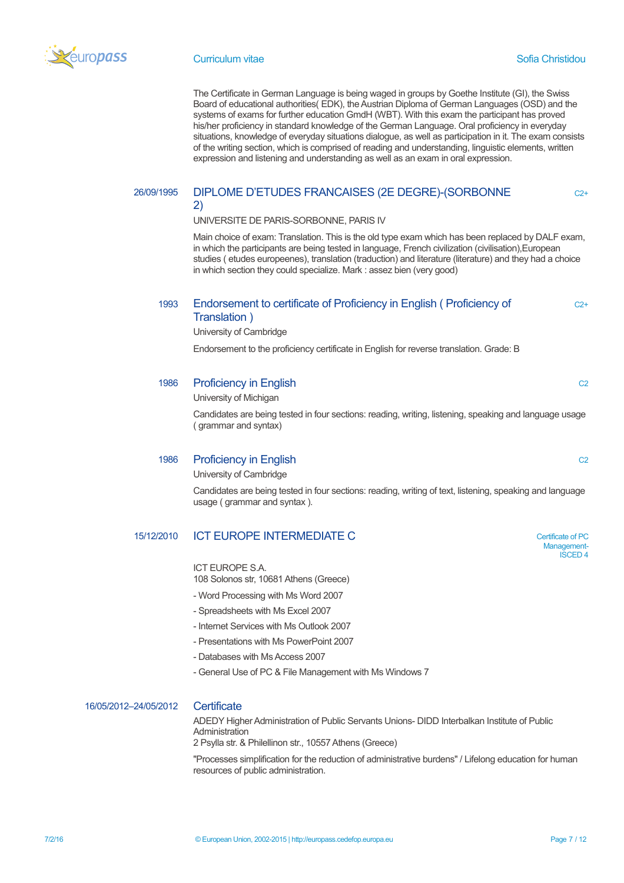

 $C2+$ 

 $C2+$ 

The Certificate in German Language is being waged in groups by Goethe Institute (GI), the Swiss Board of educational authorities( EDK), the Austrian Diploma of German Languages (OSD) and the systems of exams for further education GmdH (WBT). With this exam the participant has proved his/her proficiency in standard knowledge of the German Language. Oral proficiency in everyday situations, knowledge of everyday situations dialogue, as well as participation in it. The exam consists of the writing section, which is comprised of reading and understanding, linguistic elements, written expression and listening and understanding as well as an exam in oral expression.

# 26/09/1995 DIPLOME D'ETUDES FRANCAISES (2E DEGRE)-(SORBONNE

#### 2)

UNIVERSITE DE PARIS-SORBONNE, PARIS IV

Main choice of exam: Translation. This is the old type exam which has been replaced by DALF exam, in which the participants are being tested in language, French civilization (civilisation),European studies ( etudes europeenes), translation (traduction) and literature (literature) and they had a choice in which section they could specialize. Mark : assez bien (very good)

# 1993 Endorsement to certificate of Proficiency in English ( Proficiency of Translation )

University of Cambridge

Endorsement to the proficiency certificate in English for reverse translation. Grade: B

### 1986 Proficiency in English C2

University of Michigan

Candidates are being tested in four sections: reading, writing, listening, speaking and language usage ( grammar and syntax)

### 1986 Proficiency in English C2

University of Cambridge

Candidates are being tested in four sections: reading, writing of text, listening, speaking and language usage ( grammar and syntax ).

## 15/12/2010 **ICT EUROPE INTERMEDIATE C** Certificate of PC

ICT EUROPE S.A. 108 Solonos str, 10681 Athens (Greece)

- Word Processing with Ms Word 2007
- Spreadsheets with Ms Excel 2007
- Internet Services with Ms Outlook 2007
- Presentations with Ms PowerPoint 2007
- Databases with Ms Access 2007
- General Use of PC & File Management with Ms Windows 7

# 16/05/2012–24/05/2012 Certificate

ADEDY Higher Administration of Public Servants Unions- DIDD Interbalkan Institute of Public Administration

2 Psylla str. & Philellinon str., 10557 Athens (Greece)

"Processes simplification for the reduction of administrative burdens" / Lifelong education for human resources of public administration.

Management-ISCED 4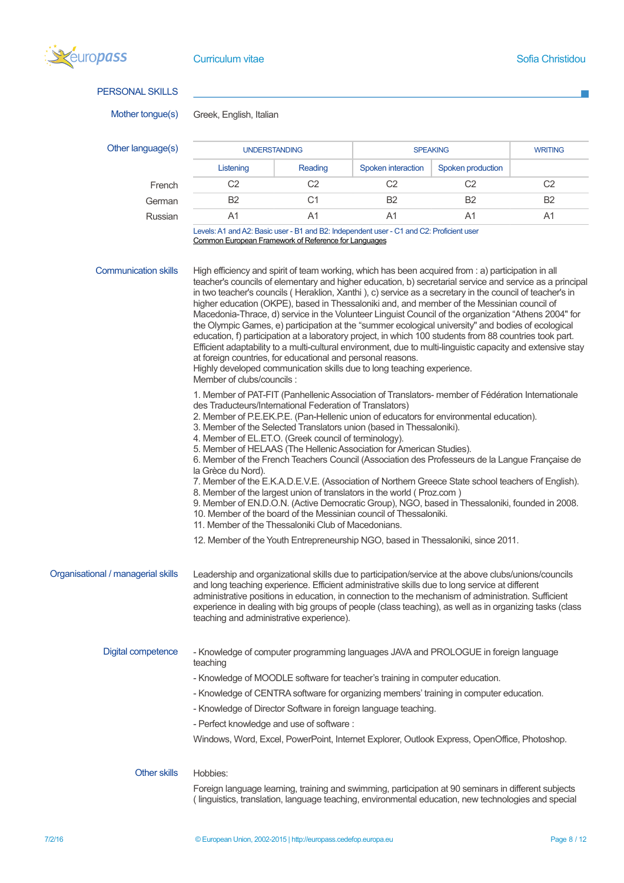

| <b>PERSONAL SKILLS</b>             |                                                                                                                                                                                                                                                                                                                                                                                                                                                                                                                                                                                                                                                                                                                                                                                                                                                                                                                                                                                                                                       |                                                                                                                                                                                                                                                                                                                                                                                                                                                                              |                                                                                          |                   |                |  |  |
|------------------------------------|---------------------------------------------------------------------------------------------------------------------------------------------------------------------------------------------------------------------------------------------------------------------------------------------------------------------------------------------------------------------------------------------------------------------------------------------------------------------------------------------------------------------------------------------------------------------------------------------------------------------------------------------------------------------------------------------------------------------------------------------------------------------------------------------------------------------------------------------------------------------------------------------------------------------------------------------------------------------------------------------------------------------------------------|------------------------------------------------------------------------------------------------------------------------------------------------------------------------------------------------------------------------------------------------------------------------------------------------------------------------------------------------------------------------------------------------------------------------------------------------------------------------------|------------------------------------------------------------------------------------------|-------------------|----------------|--|--|
| Mother tongue(s)                   | Greek, English, Italian                                                                                                                                                                                                                                                                                                                                                                                                                                                                                                                                                                                                                                                                                                                                                                                                                                                                                                                                                                                                               |                                                                                                                                                                                                                                                                                                                                                                                                                                                                              |                                                                                          |                   |                |  |  |
| Other language(s)                  | <b>UNDERSTANDING</b>                                                                                                                                                                                                                                                                                                                                                                                                                                                                                                                                                                                                                                                                                                                                                                                                                                                                                                                                                                                                                  |                                                                                                                                                                                                                                                                                                                                                                                                                                                                              |                                                                                          | <b>SPEAKING</b>   |                |  |  |
|                                    | Listening                                                                                                                                                                                                                                                                                                                                                                                                                                                                                                                                                                                                                                                                                                                                                                                                                                                                                                                                                                                                                             | Reading                                                                                                                                                                                                                                                                                                                                                                                                                                                                      | Spoken interaction                                                                       | Spoken production |                |  |  |
| French                             | C <sub>2</sub>                                                                                                                                                                                                                                                                                                                                                                                                                                                                                                                                                                                                                                                                                                                                                                                                                                                                                                                                                                                                                        | C <sub>2</sub>                                                                                                                                                                                                                                                                                                                                                                                                                                                               | C <sub>2</sub>                                                                           | C <sub>2</sub>    | C <sub>2</sub> |  |  |
| German                             | B <sub>2</sub>                                                                                                                                                                                                                                                                                                                                                                                                                                                                                                                                                                                                                                                                                                                                                                                                                                                                                                                                                                                                                        | C <sub>1</sub>                                                                                                                                                                                                                                                                                                                                                                                                                                                               | B <sub>2</sub>                                                                           | B <sub>2</sub>    | B <sub>2</sub> |  |  |
| Russian                            | A <sub>1</sub>                                                                                                                                                                                                                                                                                                                                                                                                                                                                                                                                                                                                                                                                                                                                                                                                                                                                                                                                                                                                                        | A <sub>1</sub>                                                                                                                                                                                                                                                                                                                                                                                                                                                               | A1                                                                                       | A <sub>1</sub>    | A1             |  |  |
|                                    | Common European Framework of Reference for Languages                                                                                                                                                                                                                                                                                                                                                                                                                                                                                                                                                                                                                                                                                                                                                                                                                                                                                                                                                                                  |                                                                                                                                                                                                                                                                                                                                                                                                                                                                              | Levels: A1 and A2: Basic user - B1 and B2: Independent user - C1 and C2: Proficient user |                   |                |  |  |
| <b>Communication skills</b>        | High efficiency and spirit of team working, which has been acquired from : a) participation in all<br>teacher's councils of elementary and higher education, b) secretarial service and service as a principal<br>in two teacher's councils (Heraklion, Xanthi), c) service as a secretary in the council of teacher's in<br>higher education (OKPE), based in Thessaloniki and, and member of the Messinian council of<br>Macedonia-Thrace, d) service in the Volunteer Linguist Council of the organization "Athens 2004" for<br>the Olympic Games, e) participation at the "summer ecological university" and bodies of ecological<br>education, f) participation at a laboratory project, in which 100 students from 88 countries took part.<br>Efficient adaptability to a multi-cultural environment, due to multi-linguistic capacity and extensive stay<br>at foreign countries, for educational and personal reasons.<br>Highly developed communication skills due to long teaching experience.<br>Member of clubs/councils: |                                                                                                                                                                                                                                                                                                                                                                                                                                                                              |                                                                                          |                   |                |  |  |
|                                    | 1. Member of PAT-FIT (Panhellenic Association of Translators- member of Fédération Internationale<br>des Traducteurs/International Federation of Translators)<br>2. Member of P.E.EK.P.E. (Pan-Hellenic union of educators for environmental education).<br>3. Member of the Selected Translators union (based in Thessaloniki).<br>4. Member of EL.ET.O. (Greek council of terminology).<br>5. Member of HELAAS (The Hellenic Association for American Studies).<br>6. Member of the French Teachers Council (Association des Professeurs de la Langue Française de<br>la Grèce du Nord).<br>7. Member of the E.K.A.D.E.V.E. (Association of Northern Greece State school teachers of English).<br>8. Member of the largest union of translators in the world (Proz.com)<br>9. Member of EN.D.O.N. (Active Democratic Group), NGO, based in Thessaloniki, founded in 2008.<br>10. Member of the board of the Messinian council of Thessaloniki.<br>11. Member of the Thessaloniki Club of Macedonians.                               |                                                                                                                                                                                                                                                                                                                                                                                                                                                                              |                                                                                          |                   |                |  |  |
| Organisational / managerial skills | 12. Member of the Youth Entrepreneurship NGO, based in Thessaloniki, since 2011.<br>Leadership and organizational skills due to participation/service at the above clubs/unions/councils<br>and long teaching experience. Efficient administrative skills due to long service at different<br>administrative positions in education, in connection to the mechanism of administration. Sufficient<br>experience in dealing with big groups of people (class teaching), as well as in organizing tasks (class<br>teaching and administrative experience).                                                                                                                                                                                                                                                                                                                                                                                                                                                                              |                                                                                                                                                                                                                                                                                                                                                                                                                                                                              |                                                                                          |                   |                |  |  |
| Digital competence                 | teaching                                                                                                                                                                                                                                                                                                                                                                                                                                                                                                                                                                                                                                                                                                                                                                                                                                                                                                                                                                                                                              | - Knowledge of computer programming languages JAVA and PROLOGUE in foreign language<br>- Knowledge of MOODLE software for teacher's training in computer education.<br>- Knowledge of CENTRA software for organizing members' training in computer education.<br>- Knowledge of Director Software in foreign language teaching.<br>- Perfect knowledge and use of software :<br>Windows, Word, Excel, PowerPoint, Internet Explorer, Outlook Express, OpenOffice, Photoshop. |                                                                                          |                   |                |  |  |
| <b>Other skills</b>                | Hobbies:<br>Foreign language learning, training and swimming, participation at 90 seminars in different subjects                                                                                                                                                                                                                                                                                                                                                                                                                                                                                                                                                                                                                                                                                                                                                                                                                                                                                                                      |                                                                                                                                                                                                                                                                                                                                                                                                                                                                              |                                                                                          |                   |                |  |  |

( linguistics, translation, language teaching, environmental education, new technologies and special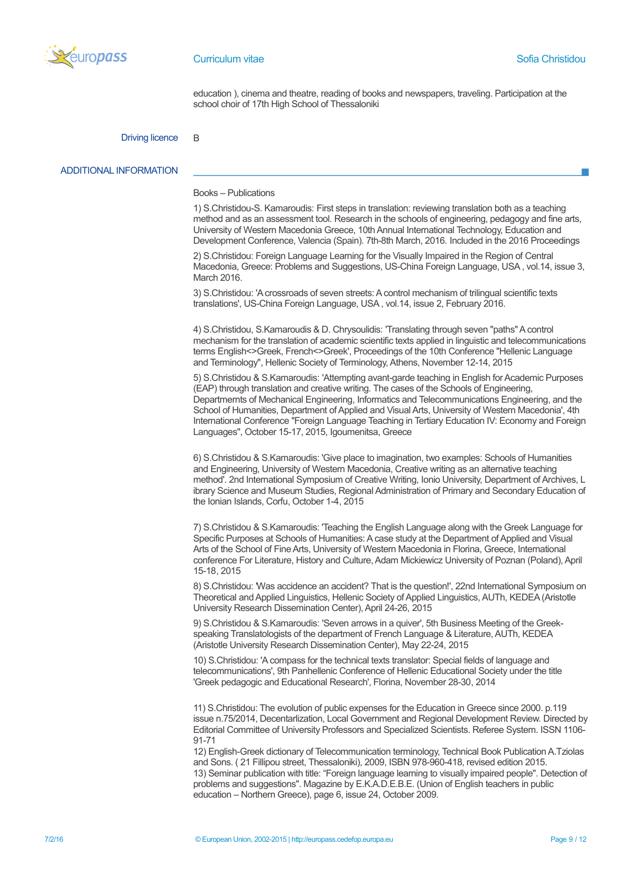

#### **Curriculum vitae Sofia Christidou**

education ), cinema and theatre, reading of books and newspapers, traveling. Participation at the school choir of 17th High School of Thessaloniki

#### Driving licence B

#### ADDITIONAL INFORMATION

#### Books – Publications

1) S.Christidou-S. Kamaroudis: First steps in translation: reviewing translation both as a teaching method and as an assessment tool. Research in the schools of engineering, pedagogy and fine arts, University of Western Macedonia Greece, 10th Annual International Technology, Education and Development Conference, Valencia (Spain). 7th-8th March, 2016. Included in the 2016 Proceedings

2) S.Christidou: Foreign Language Learning for the Visually Impaired in the Region of Central Macedonia, Greece: Problems and Suggestions, US-China Foreign Language, USA , vol.14, issue 3, March 2016.

3) S.Christidou: 'A crossroads of seven streets: A control mechanism of trilingual scientific texts translations', US-China Foreign Language, USA , vol.14, issue 2, February 2016.

4) S.Christidou, S.Kamaroudis & D. Chrysoulidis: 'Translating through seven "paths" A control mechanism for the translation of academic scientific texts applied in linguistic and telecommunications terms English<>Greek, French<>Greek', Proceedings of the 10th Conference "Hellenic Language and Terminology", Hellenic Society of Terminology, Athens, November 12-14, 2015

5) S.Christidou & S.Kamaroudis: 'Attempting avant-garde teaching in English for Academic Purposes (EAP) through translation and creative writing. The cases of the Schools of Engineering, Departmernts of Mechanical Engineering, Informatics and Telecommunications Engineering, and the School of Humanities, Department of Applied and Visual Arts, University of Western Macedonia', 4th International Conference "Foreign Language Teaching in Tertiary Education IV: Economy and Foreign Languages", October 15-17, 2015, Igoumenitsa, Greece

6) S.Christidou & S.Kamaroudis: 'Give place to imagination, two examples: Schools of Humanities and Engineering, University of Western Macedonia, Creative writing as an alternative teaching method'. 2nd International Symposium of Creative Writing, Ionio University, Department of Archives, L ibrary Science and Museum Studies, Regional Administration of Primary and Secondary Education of the Ionian Islands, Corfu, October 1-4, 2015

7) S.Christidou & S.Kamaroudis: 'Teaching the English Language along with the Greek Language for Specific Purposes at Schools of Humanities: A case study at the Department of Applied and Visual Arts of the School of Fine Arts, University of Western Macedonia in Florina, Greece, International conference For Literature, History and Culture, Adam Mickiewicz University of Poznan (Poland), April 15-18, 2015

8) S.Christidou: 'Was accidence an accident? That is the question!', 22nd International Symposium on Theoretical and Applied Linguistics, Hellenic Society of Applied Linguistics, AUTh, KEDEA (Aristotle University Research Dissemination Center), April 24-26, 2015

9) S.Christidou & S.Kamaroudis: 'Seven arrows in a quiver', 5th Business Meeting of the Greekspeaking Translatologists of the department of French Language & Literature, AUTh, KEDEA (Aristotle University Research Dissemination Center), May 22-24, 2015

10) S.Christidou: 'A compass for the technical texts translator: Special fields of language and telecommunications', 9th Panhellenic Conference of Hellenic Educational Society under the title 'Greek pedagogic and Educational Research', Florina, November 28-30, 2014

11) S.Christidou: The evolution of public expenses for the Education in Greece since 2000. p.119 issue n.75/2014, Decentarlization, Local Government and Regional Development Review. Directed by Editorial Committee of University Professors and Specialized Scientists. Referee System. ISSN 1106- 91-71

12) English-Greek dictionary of Telecommunication terminology, Technical Book Publication A.Tziolas and Sons. ( 21 Fillipou street, Thessaloniki), 2009, ISBN 978-960-418, revised edition 2015. 13) Seminar publication with title: "Foreign language learning to visually impaired people". Detection of problems and suggestions". Magazine by E.K.A.D.E.B.E. (Union of English teachers in public education – Northern Greece), page 6, issue 24, October 2009.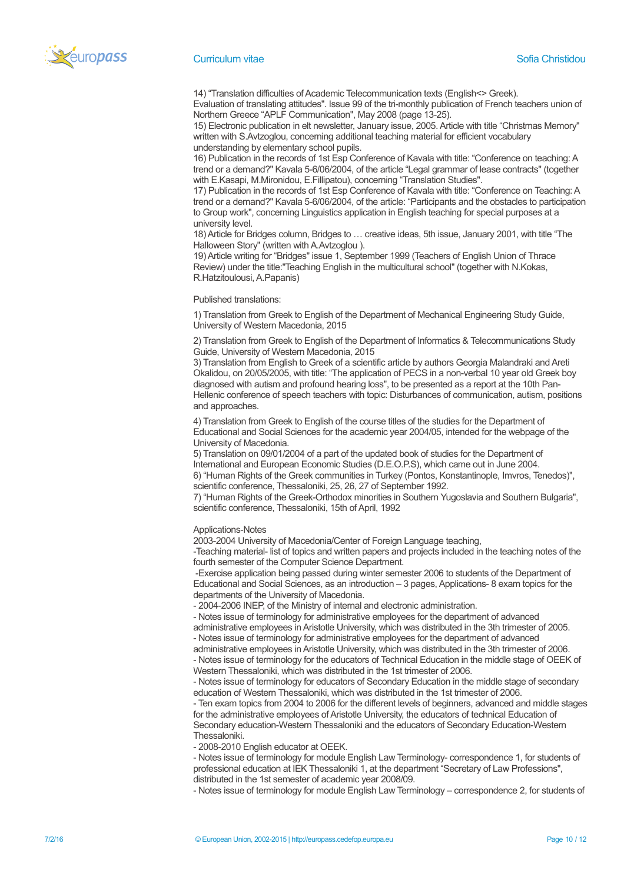

14) "Translation difficulties of Academic Telecommunication texts (English<> Greek).

Evaluation of translating attitudes". Issue 99 of the tri-monthly publication of French teachers union of Northern Greece "APLF Communication", May 2008 (page 13-25).

15) Electronic publication in elt newsletter, January issue, 2005. Article with title "Christmas Memory" written with S.Avtzoglou, concerning additional teaching material for efficient vocabulary understanding by elementary school pupils.

16) Publication in the records of 1st Esp Conference of Kavala with title: "Conference on teaching: A trend or a demand?" Kavala 5-6/06/2004, of the article "Legal grammar of lease contracts" (together with E.Kasapi, M.Mironidou, E.Fillipatou), concerning "Translation Studies".

17) Publication in the records of 1st Esp Conference of Kavala with title: "Conference on Teaching: A trend or a demand?" Kavala 5-6/06/2004, of the article: "Participants and the obstacles to participation to Group work", concerning Linguistics application in English teaching for special purposes at a university level.

18) Article for Bridges column, Bridges to … creative ideas, 5th issue, January 2001, with title "The Halloween Story" (written with A.Avtzoglou ).

19) Article writing for "Bridges" issue 1, September 1999 (Teachers of English Union of Thrace Review) under the title:"Teaching English in the multicultural school" (together with N.Kokas, R.Hatzitoulousi, A.Papanis)

#### Published translations:

1) Translation from Greek to English of the Department of Mechanical Engineering Study Guide, University of Western Macedonia, 2015

2) Translation from Greek to English of the Department of Informatics & Telecommunications Study Guide, University of Western Macedonia, 2015

3) Translation from English to Greek of a scientific article by authors Georgia Malandraki and Areti Okalidou, on 20/05/2005, with title: "The application of PECS in a non-verbal 10 year old Greek boy diagnosed with autism and profound hearing loss", to be presented as a report at the 10th Pan-Hellenic conference of speech teachers with topic: Disturbances of communication, autism, positions and approaches.

4) Translation from Greek to English of the course titles of the studies for the Department of Educational and Social Sciences for the academic year 2004/05, intended for the webpage of the University of Macedonia.

5) Translation on 09/01/2004 of a part of the updated book of studies for the Department of International and European Economic Studies (D.E.O.P.S), which came out in June 2004. 6) "Human Rights of the Greek communities in Turkey (Pontos, Konstantinople, Imvros, Tenedos)",

scientific conference, Thessaloniki, 25, 26, 27 of September 1992. 7) "Human Rights of the Greek-Orthodox minorities in Southern Yugoslavia and Southern Bulgaria",

scientific conference, Thessaloniki, 15th of April, 1992

#### Applications-Notes

2003-2004 University of Macedonia/Center of Foreign Language teaching,

-Teaching material- list of topics and written papers and projects included in the teaching notes of the fourth semester of the Computer Science Department.

 -Exercise application being passed during winter semester 2006 to students of the Department of Educational and Social Sciences, as an introduction – 3 pages, Applications- 8 exam topics for the departments of the University of Macedonia.

- 2004-2006 INEP, of the Ministry of internal and electronic administration.

- Notes issue of terminology for administrative employees for the department of advanced administrative employees in Aristotle University, which was distributed in the 3th trimester of 2005.

- Notes issue of terminology for administrative employees for the department of advanced administrative employees in Aristotle University, which was distributed in the 3th trimester of 2006.

- Notes issue of terminology for the educators of Technical Education in the middle stage of OEEK of Western Thessaloniki, which was distributed in the 1st trimester of 2006.

- Notes issue of terminology for educators of Secondary Education in the middle stage of secondary education of Western Thessaloniki, which was distributed in the 1st trimester of 2006.

- Ten exam topics from 2004 to 2006 for the different levels of beginners, advanced and middle stages for the administrative employees of Aristotle University, the educators of technical Education of Secondary education-Western Thessaloniki and the educators of Secondary Education-Western Thessaloniki.

- 2008-2010 English educator at OEEK.

- Notes issue of terminology for module English Law Terminology- correspondence 1, for students of professional education at IEK Thessaloniki 1, at the department "Secretary of Law Professions", distributed in the 1st semester of academic year 2008/09.

- Notes issue of terminology for module English Law Terminology – correspondence 2, for students of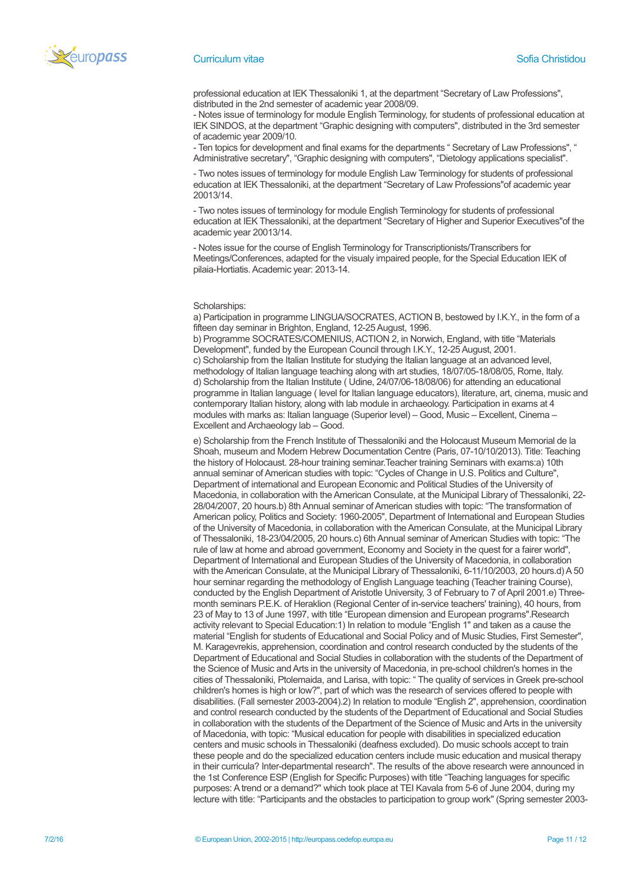

professional education at IEK Thessaloniki 1, at the department "Secretary of Law Professions", distributed in the 2nd semester of academic year 2008/09.

- Notes issue of terminology for module English Terminology, for students of professional education at IEK SINDOS, at the department "Graphic designing with computers", distributed in the 3rd semester of academic year 2009/10.

- Ten topics for development and final exams for the departments " Secretary of Law Professions", " Administrative secretary", "Graphic designing with computers", "Dietology applications specialist".

- Two notes issues of terminology for module English Law Terminology for students of professional education at IEK Thessaloniki, at the department "Secretary of Law Professions"of academic year 20013/14.

- Two notes issues of terminology for module English Terminology for students of professional education at IEK Thessaloniki, at the department "Secretary of Higher and Superior Executives"of the academic year 20013/14.

- Notes issue for the course of English Terminology for Transcriptionists/Transcribers for Meetings/Conferences, adapted for the visualy impaired people, for the Special Education IEK of pilaia-Hortiatis. Academic year: 2013-14.

#### Scholarships:

a) Participation in programme LINGUA/SOCRATES, ACTION B, bestowed by I.K.Y., in the form of a fifteen day seminar in Brighton, England, 12-25 August, 1996.

b) Programme SOCRATES/COMENIUS, ACTION 2, in Norwich, England, with title "Materials Development", funded by the European Council through I.K.Y., 12-25 August, 2001. c) Scholarship from the Italian Institute for studying the Italian language at an advanced level,

methodology of Italian language teaching along with art studies, 18/07/05-18/08/05, Rome, Italy. d) Scholarship from the Italian Institute ( Udine, 24/07/06-18/08/06) for attending an educational programme in Italian language ( level for Italian language educators), literature, art, cinema, music and contemporary Italian history, along with lab module in archaeology. Participation in exams at 4 modules with marks as: Italian language (Superior level) – Good, Music – Excellent, Cinema – Excellent and Archaeology lab – Good.

e) Scholarship from the French Institute of Thessaloniki and the Holocaust Museum Memorial de la Shoah, museum and Modern Hebrew Documentation Centre (Paris, 07-10/10/2013). Title: Teaching the history of Holocaust. 28-hour training seminar.Teacher training Seminars with exams:a) 10th annual seminar of American studies with topic: "Cycles of Change in U.S. Politics and Culture", Department of international and European Economic and Political Studies of the University of Macedonia, in collaboration with the American Consulate, at the Municipal Library of Thessaloniki, 22- 28/04/2007, 20 hours.b) 8th Annual seminar of American studies with topic: "The transformation of American policy, Politics and Society: 1960-2005", Department of International and European Studies of the University of Macedonia, in collaboration with the American Consulate, at the Municipal Library of Thessaloniki, 18-23/04/2005, 20 hours.c) 6th Annual seminar of American Studies with topic: "The rule of law at home and abroad government, Economy and Society in the quest for a fairer world", Department of International and European Studies of the University of Macedonia, in collaboration with the American Consulate, at the Municipal Library of Thessaloniki, 6-11/10/2003, 20 hours.d) A 50 hour seminar regarding the methodology of English Language teaching (Teacher training Course), conducted by the English Department of Aristotle University, 3 of February to 7 of April 2001.e) Threemonth seminars P.E.K. of Heraklion (Regional Center of in-service teachers' training), 40 hours, from 23 of May to 13 of June 1997, with title "European dimension and European programs".Research activity relevant to Special Education:1) In relation to module "English 1" and taken as a cause the material "English for students of Educational and Social Policy and of Music Studies, First Semester", M. Karagevrekis, apprehension, coordination and control research conducted by the students of the Department of Educational and Social Studies in collaboration with the students of the Department of the Science of Music and Arts in the university of Macedonia, in pre-school children's homes in the cities of Thessaloniki, Ptolemaida, and Larisa, with topic: " The quality of services in Greek pre-school children's homes is high or low?", part of which was the research of services offered to people with disabilities. (Fall semester 2003-2004).2) In relation to module "English 2", apprehension, coordination and control research conducted by the students of the Department of Educational and Social Studies in collaboration with the students of the Department of the Science of Music and Arts in the university of Macedonia, with topic: "Musical education for people with disabilities in specialized education centers and music schools in Thessaloniki (deafness excluded). Do music schools accept to train these people and do the specialized education centers include music education and musical therapy in their curricula? Inter-departmental research". The results of the above research were announced in the 1st Conference ESP (English for Specific Purposes) with title "Teaching languages for specific purposes: A trend or a demand?" which took place at TEI Kavala from 5-6 of June 2004, during my lecture with title: "Participants and the obstacles to participation to group work" (Spring semester 2003-